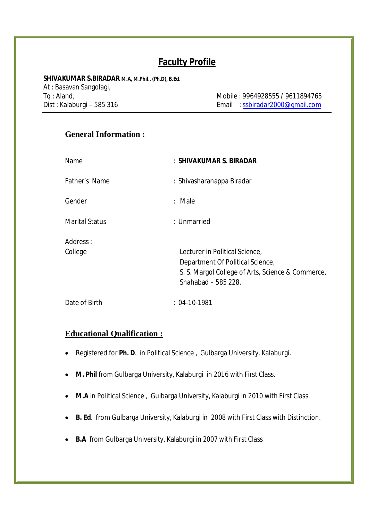# **Faculty Profile**

**SHIVAKUMAR S.BIRADAR M.A, M.Phil., (Ph.D), B.Ed.**

At : Basavan Sangolagi,

Tq : Aland, Mobile : 9964928555 / 9611894765 Dist : Kalaburgi – 585 316 Email : ssbiradar2000@gmail.com

## **General Information :**

| Name                  | : SHIVAKUMAR S. BIRADAR                                                                                                                        |
|-----------------------|------------------------------------------------------------------------------------------------------------------------------------------------|
| Father's Name         | : Shivasharanappa Biradar                                                                                                                      |
| Gender                | $:$ Male                                                                                                                                       |
| <b>Marital Status</b> | : Unmarried                                                                                                                                    |
| Address:<br>College   | Lecturer in Political Science,<br>Department Of Political Science,<br>S. S. Margol College of Arts, Science & Commerce,<br>Shahabad - 585 228. |
| Date of Birth         | $: 04-10-1981$                                                                                                                                 |

## **Educational Qualification :**

- Registered for **Ph. D**. in Political Science , Gulbarga University, Kalaburgi.
- **M. Phil** from Gulbarga University, Kalaburgi in 2016 with First Class.
- **M.A** in Political Science , Gulbarga University, Kalaburgi in 2010 with First Class.
- **B. Ed**. from Gulbarga University, Kalaburgi in 2008 with First Class with Distinction.
- **B.A** from Gulbarga University, Kalaburgi in 2007 with First Class